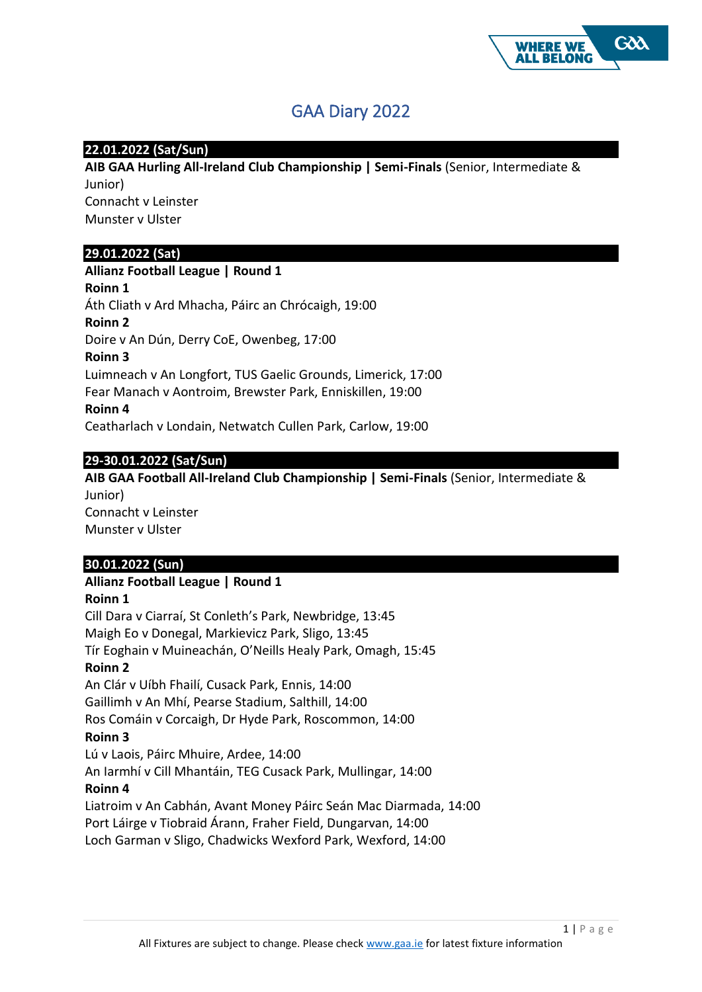

# GAA Diary 2022

## **22.01.2022 (Sat/Sun)**

**AIB GAA Hurling All-Ireland Club Championship | Semi-Finals** (Senior, Intermediate & Junior) Connacht v Leinster Munster v Ulster

## **29.01.2022 (Sat)**

**Allianz Football League | Round 1 Roinn 1** Áth Cliath v Ard Mhacha, Páirc an Chrócaigh, 19:00 **Roinn 2** Doire v An Dún, Derry CoE, Owenbeg, 17:00 **Roinn 3** Luimneach v An Longfort, TUS Gaelic Grounds, Limerick, 17:00 Fear Manach v Aontroim, Brewster Park, Enniskillen, 19:00 **Roinn 4** Ceatharlach v Londain, Netwatch Cullen Park, Carlow, 19:00

## **29-30.01.2022 (Sat/Sun)**

**AIB GAA Football All-Ireland Club Championship | Semi-Finals** (Senior, Intermediate & Junior) Connacht v Leinster Munster v Ulster

## **30.01.2022 (Sun)**

## **Allianz Football League | Round 1**

## **Roinn 1**

Cill Dara v Ciarraí, St Conleth's Park, Newbridge, 13:45 Maigh Eo v Donegal, Markievicz Park, Sligo, 13:45 Tír Eoghain v Muineachán, O'Neills Healy Park, Omagh, 15:45 **Roinn 2** An Clár v Uíbh Fhailí, Cusack Park, Ennis, 14:00 Gaillimh v An Mhí, Pearse Stadium, Salthill, 14:00 Ros Comáin v Corcaigh, Dr Hyde Park, Roscommon, 14:00 **Roinn 3** Lú v Laois, Páirc Mhuire, Ardee, 14:00 An Iarmhí v Cill Mhantáin, TEG Cusack Park, Mullingar, 14:00 **Roinn 4** Liatroim v An Cabhán, Avant Money Páirc Seán Mac Diarmada, 14:00 Port Láirge v Tiobraid Árann, Fraher Field, Dungarvan, 14:00 Loch Garman v Sligo, Chadwicks Wexford Park, Wexford, 14:00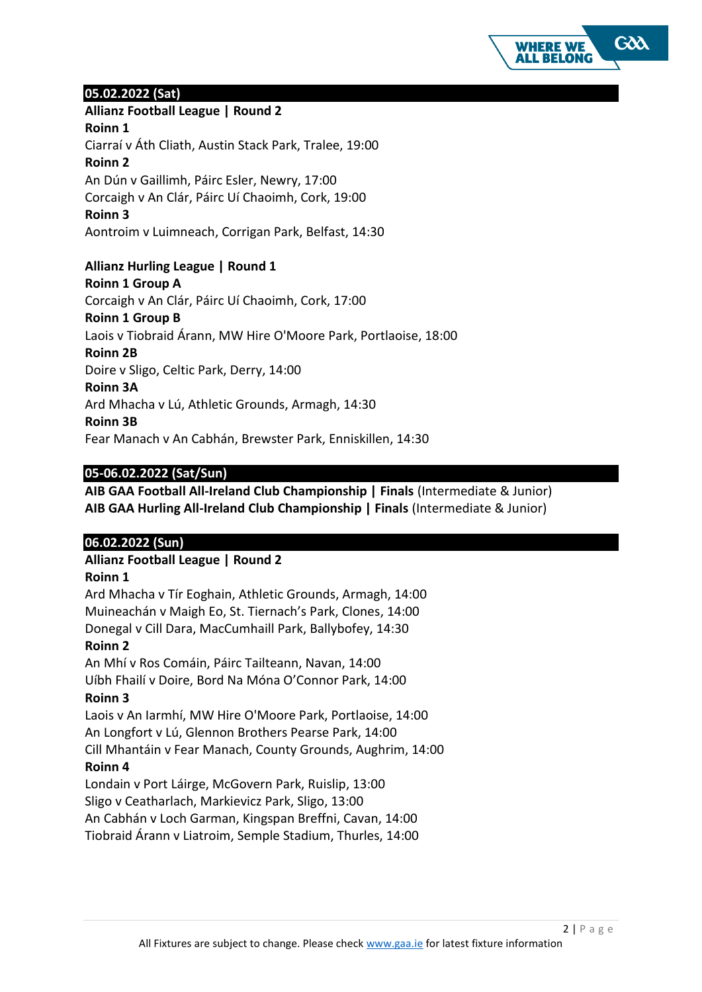

## **05.02.2022 (Sat)**

**Allianz Football League | Round 2**

**Roinn 1**

Ciarraí v Áth Cliath, Austin Stack Park, Tralee, 19:00 **Roinn 2** An Dún v Gaillimh, Páirc Esler, Newry, 17:00

Corcaigh v An Clár, Páirc Uí Chaoimh, Cork, 19:00

**Roinn 3**

Aontroim v Luimneach, Corrigan Park, Belfast, 14:30

## **Allianz Hurling League | Round 1 Roinn 1 Group A** Corcaigh v An Clár, Páirc Uí Chaoimh, Cork, 17:00 **Roinn 1 Group B**

Laois v Tiobraid Árann, MW Hire O'Moore Park, Portlaoise, 18:00 **Roinn 2B** Doire v Sligo, Celtic Park, Derry, 14:00 **Roinn 3A** Ard Mhacha v Lú, Athletic Grounds, Armagh, 14:30 **Roinn 3B**

Fear Manach v An Cabhán, Brewster Park, Enniskillen, 14:30

# **05-06.02.2022 (Sat/Sun)**

**AIB GAA Football All-Ireland Club Championship | Finals** (Intermediate & Junior) **AIB GAA Hurling All-Ireland Club Championship | Finals** (Intermediate & Junior)

# **06.02.2022 (Sun)**

**Allianz Football League | Round 2**

# **Roinn 1**

Ard Mhacha v Tír Eoghain, Athletic Grounds, Armagh, 14:00 Muineachán v Maigh Eo, St. Tiernach's Park, Clones, 14:00 Donegal v Cill Dara, MacCumhaill Park, Ballybofey, 14:30

## **Roinn 2**

An Mhí v Ros Comáin, Páirc Tailteann, Navan, 14:00 Uíbh Fhailí v Doire, Bord Na Móna O'Connor Park, 14:00 **Roinn 3**

Laois v An Iarmhí, MW Hire O'Moore Park, Portlaoise, 14:00 An Longfort v Lú, Glennon Brothers Pearse Park, 14:00 Cill Mhantáin v Fear Manach, County Grounds, Aughrim, 14:00

## **Roinn 4**

Londain v Port Láirge, McGovern Park, Ruislip, 13:00 Sligo v Ceatharlach, Markievicz Park, Sligo, 13:00 An Cabhán v Loch Garman, Kingspan Breffni, Cavan, 14:00

Tiobraid Árann v Liatroim, Semple Stadium, Thurles, 14:00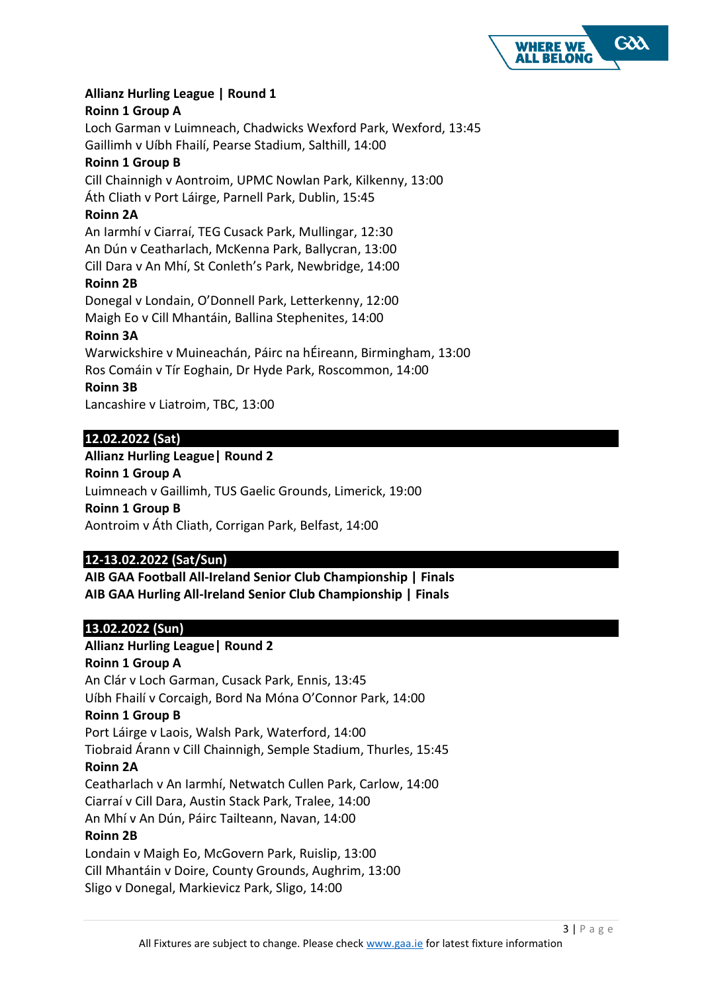

## **Allianz Hurling League | Round 1**

#### **Roinn 1 Group A**

Loch Garman v Luimneach, Chadwicks Wexford Park, Wexford, 13:45 Gaillimh v Uíbh Fhailí, Pearse Stadium, Salthill, 14:00

#### **Roinn 1 Group B**

Cill Chainnigh v Aontroim, UPMC Nowlan Park, Kilkenny, 13:00 Áth Cliath v Port Láirge, Parnell Park, Dublin, 15:45

## **Roinn 2A**

An Iarmhí v Ciarraí, TEG Cusack Park, Mullingar, 12:30

An Dún v Ceatharlach, McKenna Park, Ballycran, 13:00

Cill Dara v An Mhí, St Conleth's Park, Newbridge, 14:00 **Roinn 2B**

Donegal v Londain, O'Donnell Park, Letterkenny, 12:00 Maigh Eo v Cill Mhantáin, Ballina Stephenites, 14:00

#### **Roinn 3A**

Warwickshire v Muineachán, Páirc na hÉireann, Birmingham, 13:00 Ros Comáin v Tír Eoghain, Dr Hyde Park, Roscommon, 14:00 **Roinn 3B**

Lancashire v Liatroim, TBC, 13:00

# **12.02.2022 (Sat)**

## **Allianz Hurling League| Round 2**

**Roinn 1 Group A** Luimneach v Gaillimh, TUS Gaelic Grounds, Limerick, 19:00 **Roinn 1 Group B** Aontroim v Áth Cliath, Corrigan Park, Belfast, 14:00

## **12-13.02.2022 (Sat/Sun)**

**AIB GAA Football All-Ireland Senior Club Championship | Finals AIB GAA Hurling All-Ireland Senior Club Championship | Finals**

## **13.02.2022 (Sun)**

## **Allianz Hurling League| Round 2**

**Roinn 1 Group A**

An Clár v Loch Garman, Cusack Park, Ennis, 13:45 Uíbh Fhailí v Corcaigh, Bord Na Móna O'Connor Park, 14:00

## **Roinn 1 Group B**

Port Láirge v Laois, Walsh Park, Waterford, 14:00

Tiobraid Árann v Cill Chainnigh, Semple Stadium, Thurles, 15:45 **Roinn 2A**

Ceatharlach v An Iarmhí, Netwatch Cullen Park, Carlow, 14:00

Ciarraí v Cill Dara, Austin Stack Park, Tralee, 14:00

An Mhí v An Dún, Páirc Tailteann, Navan, 14:00

## **Roinn 2B**

Londain v Maigh Eo, McGovern Park, Ruislip, 13:00

Cill Mhantáin v Doire, County Grounds, Aughrim, 13:00

Sligo v Donegal, Markievicz Park, Sligo, 14:00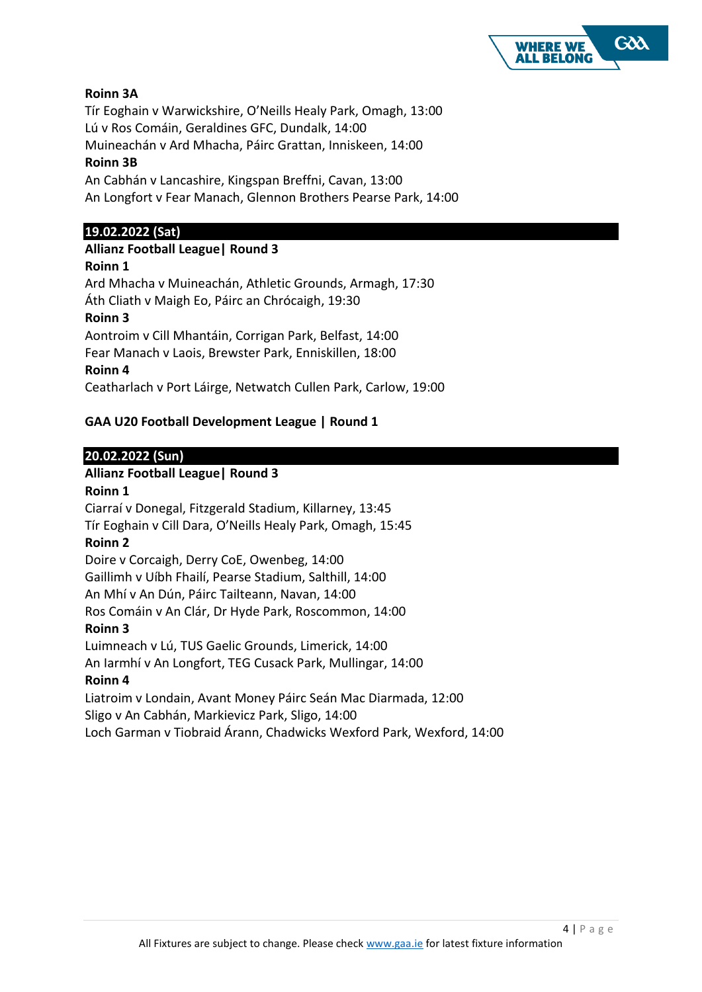

# **Roinn 3A**

Tír Eoghain v Warwickshire, O'Neills Healy Park, Omagh, 13:00 Lú v Ros Comáin, Geraldines GFC, Dundalk, 14:00 Muineachán v Ard Mhacha, Páirc Grattan, Inniskeen, 14:00

## **Roinn 3B**

An Cabhán v Lancashire, Kingspan Breffni, Cavan, 13:00 An Longfort v Fear Manach, Glennon Brothers Pearse Park, 14:00

## **19.02.2022 (Sat)**

## **Allianz Football League| Round 3**

**Roinn 1**

Ard Mhacha v Muineachán, Athletic Grounds, Armagh, 17:30 Áth Cliath v Maigh Eo, Páirc an Chrócaigh, 19:30 **Roinn 3** Aontroim v Cill Mhantáin, Corrigan Park, Belfast, 14:00 Fear Manach v Laois, Brewster Park, Enniskillen, 18:00 **Roinn 4** Ceatharlach v Port Láirge, Netwatch Cullen Park, Carlow, 19:00

# **GAA U20 Football Development League | Round 1**

## **20.02.2022 (Sun)**

# **Allianz Football League| Round 3**

**Roinn 1** Ciarraí v Donegal, Fitzgerald Stadium, Killarney, 13:45 Tír Eoghain v Cill Dara, O'Neills Healy Park, Omagh, 15:45 **Roinn 2** Doire v Corcaigh, Derry CoE, Owenbeg, 14:00 Gaillimh v Uíbh Fhailí, Pearse Stadium, Salthill, 14:00 An Mhí v An Dún, Páirc Tailteann, Navan, 14:00 Ros Comáin v An Clár, Dr Hyde Park, Roscommon, 14:00 **Roinn 3** Luimneach v Lú, TUS Gaelic Grounds, Limerick, 14:00 An Iarmhí v An Longfort, TEG Cusack Park, Mullingar, 14:00 **Roinn 4** Liatroim v Londain, Avant Money Páirc Seán Mac Diarmada, 12:00 Sligo v An Cabhán, Markievicz Park, Sligo, 14:00 Loch Garman v Tiobraid Árann, Chadwicks Wexford Park, Wexford, 14:00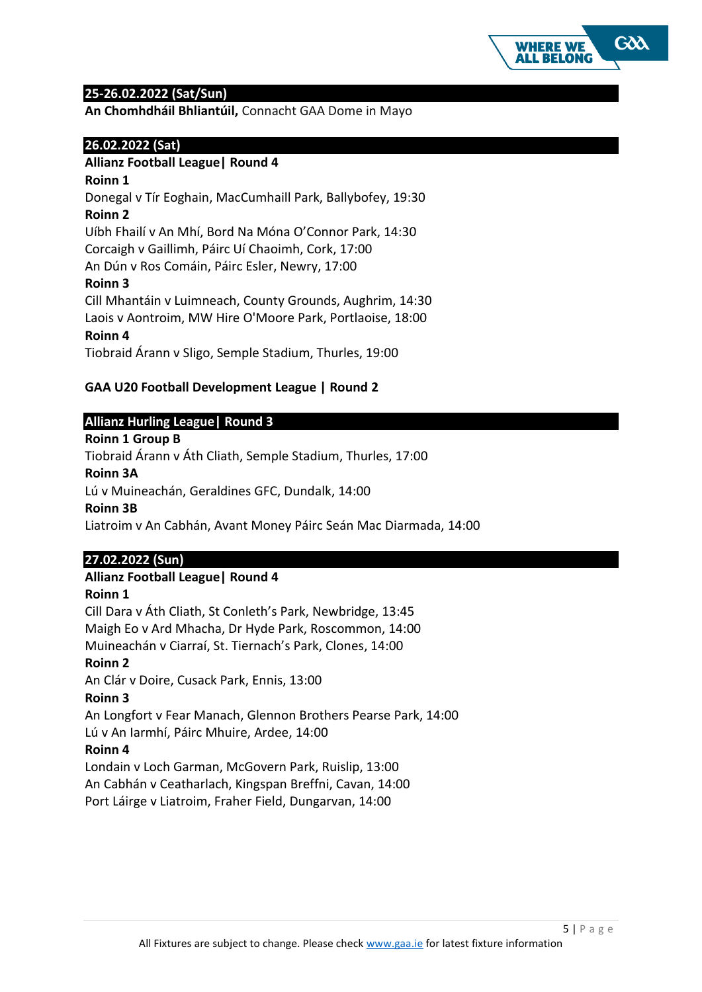

## **25-26.02.2022 (Sat/Sun)**

**An Chomhdháil Bhliantúil,** Connacht GAA Dome in Mayo

## **26.02.2022 (Sat)**

## **Allianz Football League| Round 4**

#### **Roinn 1**

Donegal v Tír Eoghain, MacCumhaill Park, Ballybofey, 19:30 **Roinn 2**

Uíbh Fhailí v An Mhí, Bord Na Móna O'Connor Park, 14:30 Corcaigh v Gaillimh, Páirc Uí Chaoimh, Cork, 17:00

An Dún v Ros Comáin, Páirc Esler, Newry, 17:00

**Roinn 3**

Cill Mhantáin v Luimneach, County Grounds, Aughrim, 14:30 Laois v Aontroim, MW Hire O'Moore Park, Portlaoise, 18:00 **Roinn 4**

Tiobraid Árann v Sligo, Semple Stadium, Thurles, 19:00

## **GAA U20 Football Development League | Round 2**

## **Allianz Hurling League| Round 3**

#### **Roinn 1 Group B**

Tiobraid Árann v Áth Cliath, Semple Stadium, Thurles, 17:00

#### **Roinn 3A**

Lú v Muineachán, Geraldines GFC, Dundalk, 14:00

## **Roinn 3B**

Liatroim v An Cabhán, Avant Money Páirc Seán Mac Diarmada, 14:00

# **27.02.2022 (Sun)**

## **Allianz Football League| Round 4**

## **Roinn 1**

Cill Dara v Áth Cliath, St Conleth's Park, Newbridge, 13:45 Maigh Eo v Ard Mhacha, Dr Hyde Park, Roscommon, 14:00 Muineachán v Ciarraí, St. Tiernach's Park, Clones, 14:00 **Roinn 2** An Clár v Doire, Cusack Park, Ennis, 13:00 **Roinn 3** An Longfort v Fear Manach, Glennon Brothers Pearse Park, 14:00 Lú v An Iarmhí, Páirc Mhuire, Ardee, 14:00 **Roinn 4** Londain v Loch Garman, McGovern Park, Ruislip, 13:00 An Cabhán v Ceatharlach, Kingspan Breffni, Cavan, 14:00 Port Láirge v Liatroim, Fraher Field, Dungarvan, 14:00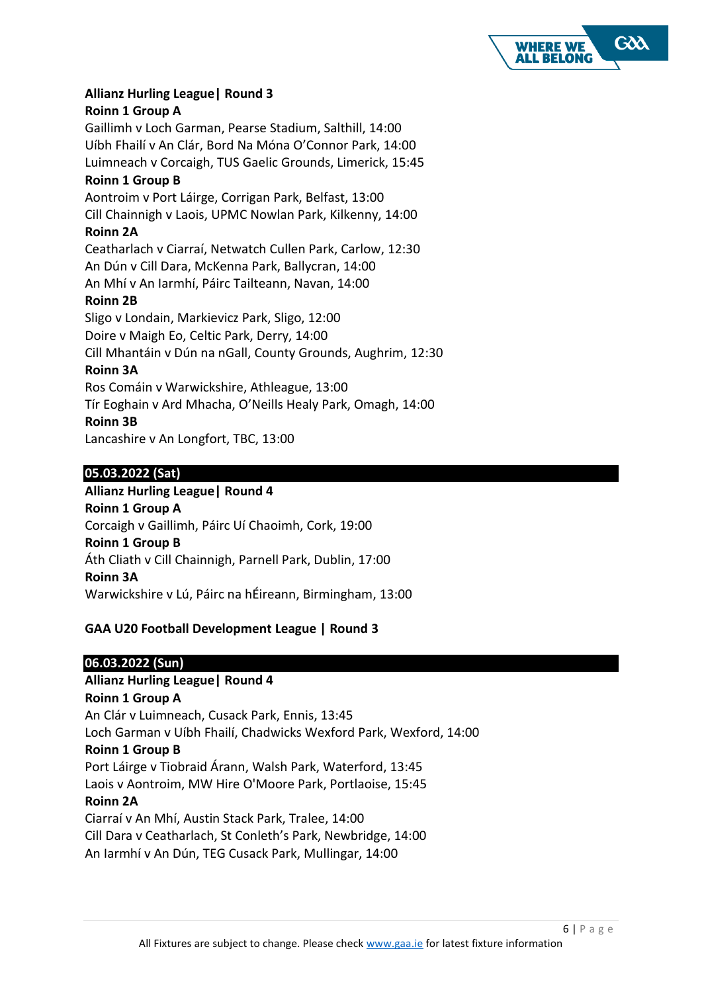

## **Allianz Hurling League| Round 3**

## **Roinn 1 Group A**

Gaillimh v Loch Garman, Pearse Stadium, Salthill, 14:00 Uíbh Fhailí v An Clár, Bord Na Móna O'Connor Park, 14:00 Luimneach v Corcaigh, TUS Gaelic Grounds, Limerick, 15:45 **Roinn 1 Group B**

Aontroim v Port Láirge, Corrigan Park, Belfast, 13:00 Cill Chainnigh v Laois, UPMC Nowlan Park, Kilkenny, 14:00 **Roinn 2A** Ceatharlach v Ciarraí, Netwatch Cullen Park, Carlow, 12:30 An Dún v Cill Dara, McKenna Park, Ballycran, 14:00 An Mhí v An Iarmhí, Páirc Tailteann, Navan, 14:00 **Roinn 2B**

Sligo v Londain, Markievicz Park, Sligo, 12:00 Doire v Maigh Eo, Celtic Park, Derry, 14:00 Cill Mhantáin v Dún na nGall, County Grounds, Aughrim, 12:30

## **Roinn 3A**

Ros Comáin v Warwickshire, Athleague, 13:00 Tír Eoghain v Ard Mhacha, O'Neills Healy Park, Omagh, 14:00 **Roinn 3B** Lancashire v An Longfort, TBC, 13:00

## **05.03.2022 (Sat)**

# **Allianz Hurling League| Round 4 Roinn 1 Group A** Corcaigh v Gaillimh, Páirc Uí Chaoimh, Cork, 19:00 **Roinn 1 Group B** Áth Cliath v Cill Chainnigh, Parnell Park, Dublin, 17:00 **Roinn 3A** Warwickshire v Lú, Páirc na hÉireann, Birmingham, 13:00

# **GAA U20 Football Development League | Round 3**

# **06.03.2022 (Sun)**

# **Allianz Hurling League| Round 4**

**Roinn 1 Group A** An Clár v Luimneach, Cusack Park, Ennis, 13:45 Loch Garman v Uíbh Fhailí, Chadwicks Wexford Park, Wexford, 14:00 **Roinn 1 Group B** Port Láirge v Tiobraid Árann, Walsh Park, Waterford, 13:45 Laois v Aontroim, MW Hire O'Moore Park, Portlaoise, 15:45 **Roinn 2A** Ciarraí v An Mhí, Austin Stack Park, Tralee, 14:00 Cill Dara v Ceatharlach, St Conleth's Park, Newbridge, 14:00 An Iarmhí v An Dún, TEG Cusack Park, Mullingar, 14:00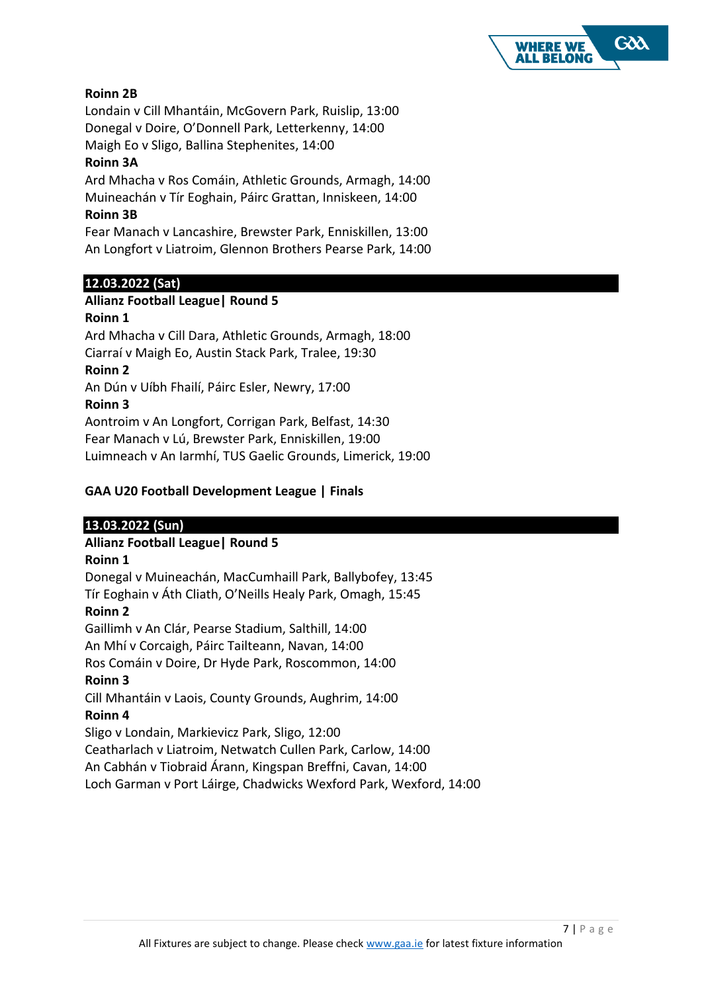

# **Roinn 2B**

Londain v Cill Mhantáin, McGovern Park, Ruislip, 13:00 Donegal v Doire, O'Donnell Park, Letterkenny, 14:00

Maigh Eo v Sligo, Ballina Stephenites, 14:00

# **Roinn 3A**

Ard Mhacha v Ros Comáin, Athletic Grounds, Armagh, 14:00 Muineachán v Tír Eoghain, Páirc Grattan, Inniskeen, 14:00

# **Roinn 3B**

Fear Manach v Lancashire, Brewster Park, Enniskillen, 13:00 An Longfort v Liatroim, Glennon Brothers Pearse Park, 14:00

## **12.03.2022 (Sat)**

#### **Allianz Football League| Round 5 Roinn 1**

Ard Mhacha v Cill Dara, Athletic Grounds, Armagh, 18:00 Ciarraí v Maigh Eo, Austin Stack Park, Tralee, 19:30 **Roinn 2** An Dún v Uíbh Fhailí, Páirc Esler, Newry, 17:00 **Roinn 3** Aontroim v An Longfort, Corrigan Park, Belfast, 14:30 Fear Manach v Lú, Brewster Park, Enniskillen, 19:00 Luimneach v An Iarmhí, TUS Gaelic Grounds, Limerick, 19:00

## **GAA U20 Football Development League | Finals**

## **13.03.2022 (Sun)**

## **Allianz Football League| Round 5**

## **Roinn 1**

Donegal v Muineachán, MacCumhaill Park, Ballybofey, 13:45 Tír Eoghain v Áth Cliath, O'Neills Healy Park, Omagh, 15:45 **Roinn 2** Gaillimh v An Clár, Pearse Stadium, Salthill, 14:00 An Mhí v Corcaigh, Páirc Tailteann, Navan, 14:00 Ros Comáin v Doire, Dr Hyde Park, Roscommon, 14:00 **Roinn 3** Cill Mhantáin v Laois, County Grounds, Aughrim, 14:00 **Roinn 4** Sligo v Londain, Markievicz Park, Sligo, 12:00 Ceatharlach v Liatroim, Netwatch Cullen Park, Carlow, 14:00

An Cabhán v Tiobraid Árann, Kingspan Breffni, Cavan, 14:00 Loch Garman v Port Láirge, Chadwicks Wexford Park, Wexford, 14:00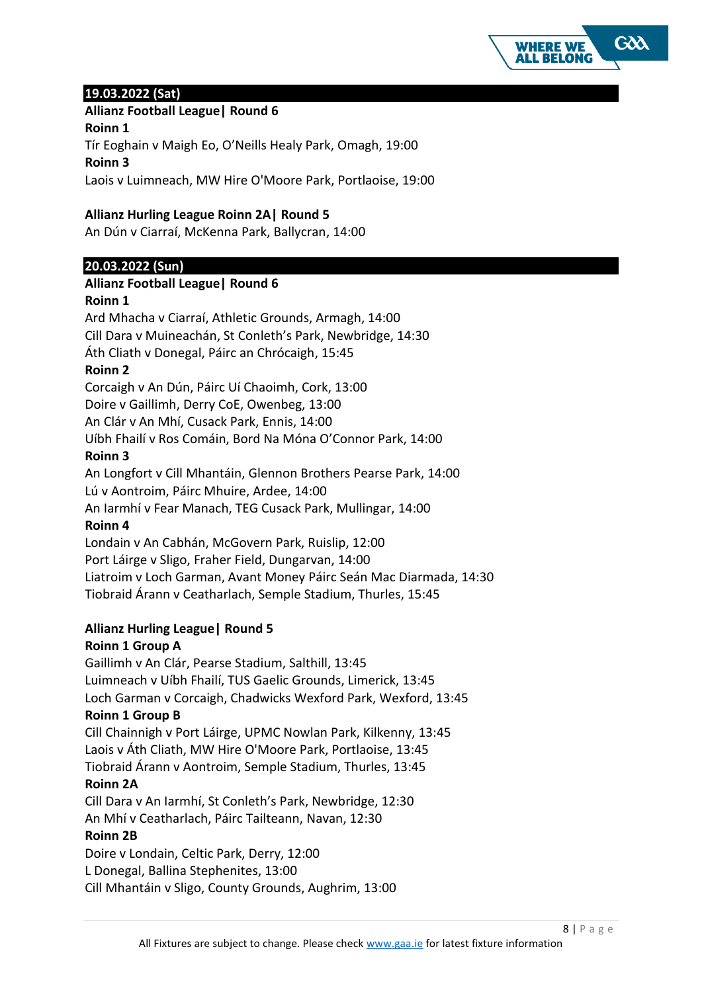

## **19.03.2022 (Sat)**

## **Allianz Football League| Round 6**

**Roinn 1**

Tír Eoghain v Maigh Eo, O'Neills Healy Park, Omagh, 19:00 **Roinn 3**

Laois v Luimneach, MW Hire O'Moore Park, Portlaoise, 19:00

## **Allianz Hurling League Roinn 2A| Round 5**

An Dún v Ciarraí, McKenna Park, Ballycran, 14:00

## **20.03.2022 (Sun)**

## **Allianz Football League| Round 6**

## **Roinn 1**

Ard Mhacha v Ciarraí, Athletic Grounds, Armagh, 14:00 Cill Dara v Muineachán, St Conleth's Park, Newbridge, 14:30 Áth Cliath v Donegal, Páirc an Chrócaigh, 15:45 **Roinn 2** Corcaigh v An Dún, Páirc Uí Chaoimh, Cork, 13:00 Doire v Gaillimh, Derry CoE, Owenbeg, 13:00 An Clár v An Mhí, Cusack Park, Ennis, 14:00 Uíbh Fhailí v Ros Comáin, Bord Na Móna O'Connor Park, 14:00 **Roinn 3** An Longfort v Cill Mhantáin, Glennon Brothers Pearse Park, 14:00 Lú v Aontroim, Páirc Mhuire, Ardee, 14:00 An Iarmhí v Fear Manach, TEG Cusack Park, Mullingar, 14:00 **Roinn 4** Londain v An Cabhán, McGovern Park, Ruislip, 12:00 Port Láirge v Sligo, Fraher Field, Dungarvan, 14:00 Liatroim v Loch Garman, Avant Money Páirc Seán Mac Diarmada, 14:30

Tiobraid Árann v Ceatharlach, Semple Stadium, Thurles, 15:45

# **Allianz Hurling League| Round 5**

## **Roinn 1 Group A**

Gaillimh v An Clár, Pearse Stadium, Salthill, 13:45 Luimneach v Uíbh Fhailí, TUS Gaelic Grounds, Limerick, 13:45 Loch Garman v Corcaigh, Chadwicks Wexford Park, Wexford, 13:45 **Roinn 1 Group B**

Cill Chainnigh v Port Láirge, UPMC Nowlan Park, Kilkenny, 13:45 Laois v Áth Cliath, MW Hire O'Moore Park, Portlaoise, 13:45 Tiobraid Árann v Aontroim, Semple Stadium, Thurles, 13:45

## **Roinn 2A**

Cill Dara v An Iarmhí, St Conleth's Park, Newbridge, 12:30 An Mhí v Ceatharlach, Páirc Tailteann, Navan, 12:30

## **Roinn 2B**

Doire v Londain, Celtic Park, Derry, 12:00 L Donegal, Ballina Stephenites, 13:00 Cill Mhantáin v Sligo, County Grounds, Aughrim, 13:00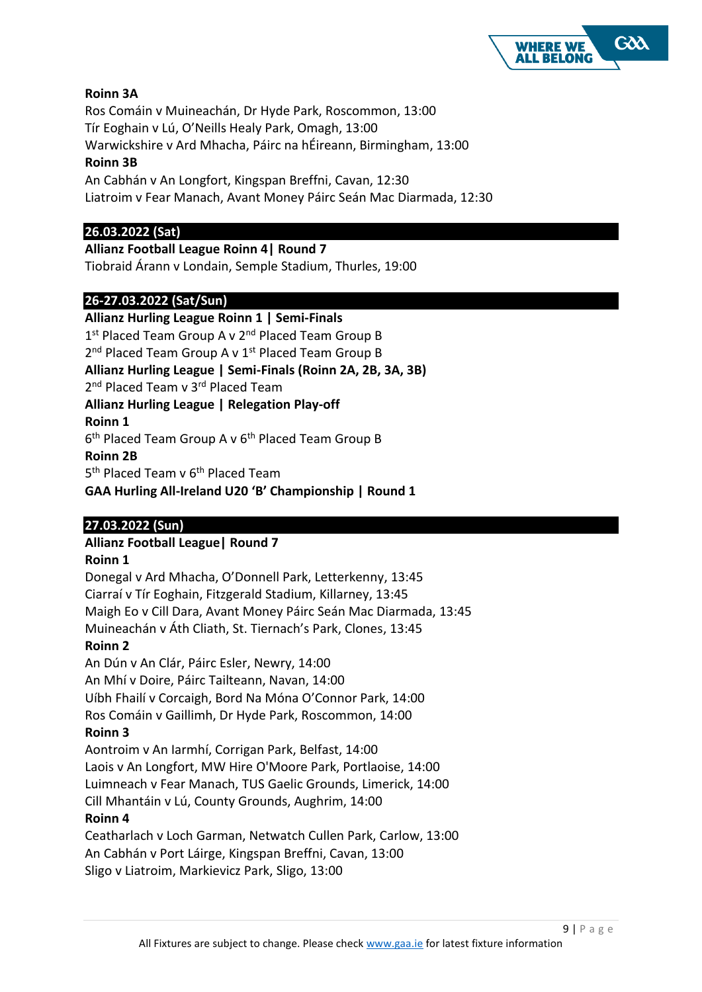

# **Roinn 3A**

Ros Comáin v Muineachán, Dr Hyde Park, Roscommon, 13:00 Tír Eoghain v Lú, O'Neills Healy Park, Omagh, 13:00

Warwickshire v Ard Mhacha, Páirc na hÉireann, Birmingham, 13:00

## **Roinn 3B**

An Cabhán v An Longfort, Kingspan Breffni, Cavan, 12:30 Liatroim v Fear Manach, Avant Money Páirc Seán Mac Diarmada, 12:30

## **26.03.2022 (Sat)**

**Allianz Football League Roinn 4| Round 7** Tiobraid Árann v Londain, Semple Stadium, Thurles, 19:00

# **26-27.03.2022 (Sat/Sun)**

**Allianz Hurling League Roinn 1 | Semi-Finals**  1st Placed Team Group A v 2<sup>nd</sup> Placed Team Group B 2<sup>nd</sup> Placed Team Group A v 1<sup>st</sup> Placed Team Group B **Allianz Hurling League | Semi-Finals (Roinn 2A, 2B, 3A, 3B)**  2<sup>nd</sup> Placed Team v 3<sup>rd</sup> Placed Team **Allianz Hurling League | Relegation Play-off Roinn 1** 6<sup>th</sup> Placed Team Group A v 6<sup>th</sup> Placed Team Group B **Roinn 2B** 5<sup>th</sup> Placed Team v 6<sup>th</sup> Placed Team

**GAA Hurling All-Ireland U20 'B' Championship | Round 1** 

# **27.03.2022 (Sun)**

# **Allianz Football League| Round 7**

## **Roinn 1**

Donegal v Ard Mhacha, O'Donnell Park, Letterkenny, 13:45 Ciarraí v Tír Eoghain, Fitzgerald Stadium, Killarney, 13:45 Maigh Eo v Cill Dara, Avant Money Páirc Seán Mac Diarmada, 13:45 Muineachán v Áth Cliath, St. Tiernach's Park, Clones, 13:45

## **Roinn 2**

An Dún v An Clár, Páirc Esler, Newry, 14:00 An Mhí v Doire, Páirc Tailteann, Navan, 14:00 Uíbh Fhailí v Corcaigh, Bord Na Móna O'Connor Park, 14:00 Ros Comáin v Gaillimh, Dr Hyde Park, Roscommon, 14:00

## **Roinn 3**

Aontroim v An Iarmhí, Corrigan Park, Belfast, 14:00 Laois v An Longfort, MW Hire O'Moore Park, Portlaoise, 14:00 Luimneach v Fear Manach, TUS Gaelic Grounds, Limerick, 14:00 Cill Mhantáin v Lú, County Grounds, Aughrim, 14:00

## **Roinn 4**

Ceatharlach v Loch Garman, Netwatch Cullen Park, Carlow, 13:00 An Cabhán v Port Láirge, Kingspan Breffni, Cavan, 13:00 Sligo v Liatroim, Markievicz Park, Sligo, 13:00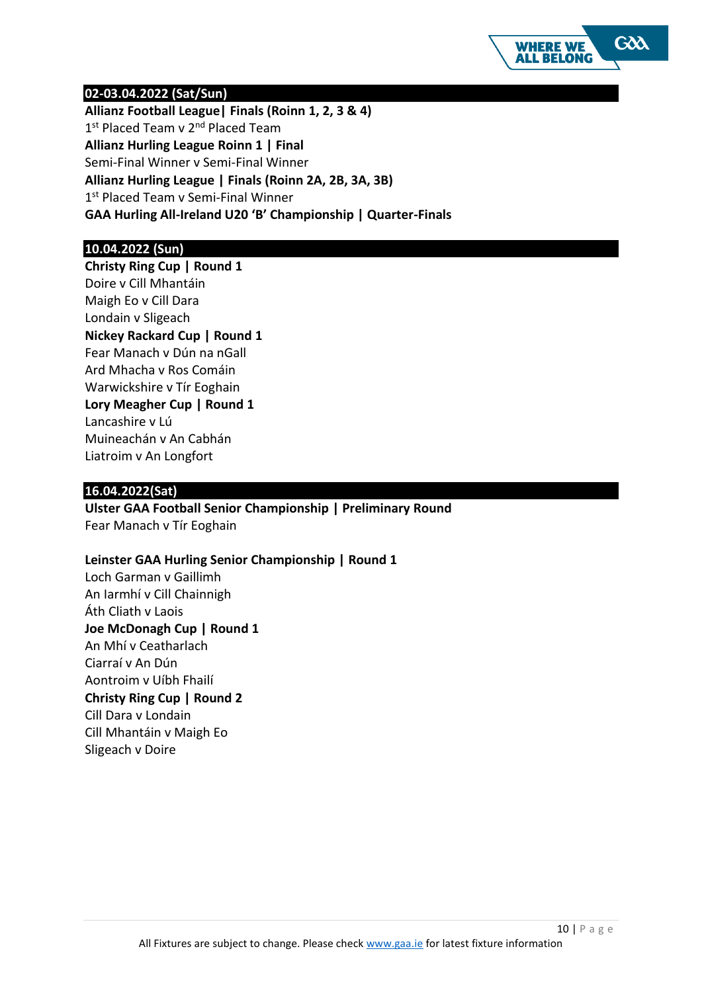

#### **02-03.04.2022 (Sat/Sun)**

**Allianz Football League| Finals (Roinn 1, 2, 3 & 4)**  1st Placed Team v 2<sup>nd</sup> Placed Team **Allianz Hurling League Roinn 1 | Final** Semi-Final Winner v Semi-Final Winner **Allianz Hurling League | Finals (Roinn 2A, 2B, 3A, 3B)** 1st Placed Team v Semi-Final Winner **GAA Hurling All-Ireland U20 'B' Championship | Quarter-Finals**

## **10.04.2022 (Sun)**

**Christy Ring Cup | Round 1** Doire v Cill Mhantáin Maigh Eo v Cill Dara Londain v Sligeach **Nickey Rackard Cup | Round 1** Fear Manach v Dún na nGall Ard Mhacha v Ros Comáin Warwickshire v Tír Eoghain **Lory Meagher Cup | Round 1** Lancashire v Lú Muineachán v An Cabhán Liatroim v An Longfort

## **16.04.2022(Sat)**

**Ulster GAA Football Senior Championship | Preliminary Round**  Fear Manach v Tír Eoghain

#### **Leinster GAA Hurling Senior Championship | Round 1**

Loch Garman v Gaillimh An Iarmhí v Cill Chainnigh Áth Cliath v Laois **Joe McDonagh Cup | Round 1** An Mhí v Ceatharlach Ciarraí v An Dún Aontroim v Uíbh Fhailí **Christy Ring Cup | Round 2** Cill Dara v Londain Cill Mhantáin v Maigh Eo Sligeach v Doire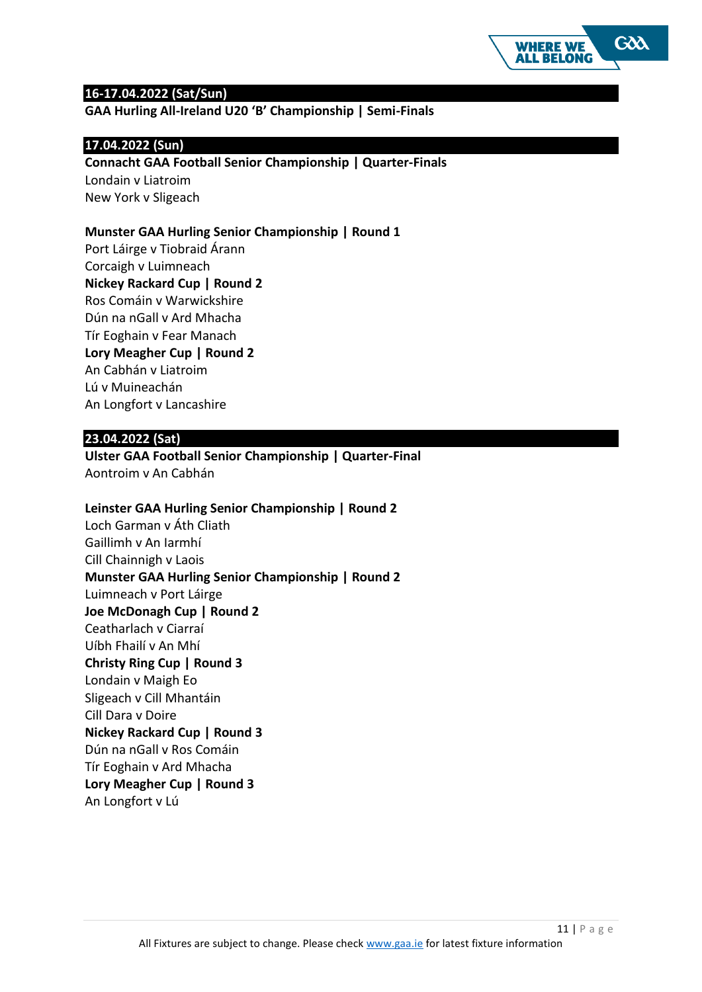

#### **16-17.04.2022 (Sat/Sun)**

**GAA Hurling All-Ireland U20 'B' Championship | Semi-Finals**

#### **17.04.2022 (Sun)**

**Connacht GAA Football Senior Championship | Quarter-Finals** Londain v Liatroim New York v Sligeach

#### **Munster GAA Hurling Senior Championship | Round 1**

Port Láirge v Tiobraid Árann Corcaigh v Luimneach **Nickey Rackard Cup | Round 2** Ros Comáin v Warwickshire Dún na nGall v Ard Mhacha Tír Eoghain v Fear Manach **Lory Meagher Cup | Round 2** An Cabhán v Liatroim Lú v Muineachán An Longfort v Lancashire

#### **23.04.2022 (Sat)**

**Ulster GAA Football Senior Championship | Quarter-Final** Aontroim v An Cabhán

#### **Leinster GAA Hurling Senior Championship | Round 2**

Loch Garman v Áth Cliath Gaillimh v An Iarmhí Cill Chainnigh v Laois **Munster GAA Hurling Senior Championship | Round 2** Luimneach v Port Láirge **Joe McDonagh Cup | Round 2** Ceatharlach v Ciarraí Uíbh Fhailí v An Mhí **Christy Ring Cup | Round 3** Londain v Maigh Eo Sligeach v Cill Mhantáin Cill Dara v Doire **Nickey Rackard Cup | Round 3** Dún na nGall v Ros Comáin Tír Eoghain v Ard Mhacha **Lory Meagher Cup | Round 3** An Longfort v Lú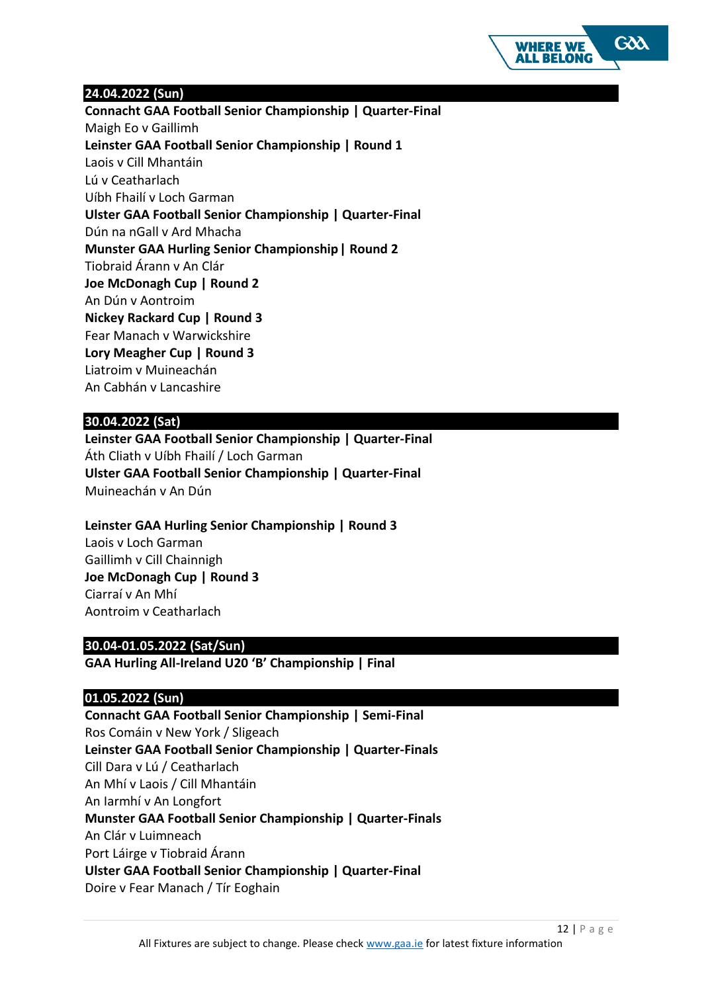

## **24.04.2022 (Sun)**

**Connacht GAA Football Senior Championship | Quarter-Final** Maigh Eo v Gaillimh **Leinster GAA Football Senior Championship | Round 1** Laois v Cill Mhantáin Lú v Ceatharlach Uíbh Fhailí v Loch Garman **Ulster GAA Football Senior Championship | Quarter-Final** Dún na nGall v Ard Mhacha **Munster GAA Hurling Senior Championship| Round 2** Tiobraid Árann v An Clár **Joe McDonagh Cup | Round 2** An Dún v Aontroim **Nickey Rackard Cup | Round 3** Fear Manach v Warwickshire **Lory Meagher Cup | Round 3** Liatroim v Muineachán An Cabhán v Lancashire

## **30.04.2022 (Sat)**

**Leinster GAA Football Senior Championship | Quarter-Final** Áth Cliath v Uíbh Fhailí / Loch Garman **Ulster GAA Football Senior Championship | Quarter-Final**  Muineachán v An Dún

## **Leinster GAA Hurling Senior Championship | Round 3**

Laois v Loch Garman Gaillimh v Cill Chainnigh **Joe McDonagh Cup | Round 3**  Ciarraí v An Mhí Aontroim v Ceatharlach

## **30.04-01.05.2022 (Sat/Sun)**

**GAA Hurling All-Ireland U20 'B' Championship | Final**

#### **01.05.2022 (Sun)**

**Connacht GAA Football Senior Championship | Semi-Final** Ros Comáin v New York / Sligeach **Leinster GAA Football Senior Championship | Quarter-Finals** Cill Dara v Lú / Ceatharlach An Mhí v Laois / Cill Mhantáin An Iarmhí v An Longfort **Munster GAA Football Senior Championship | Quarter-Finals** An Clár v Luimneach Port Láirge v Tiobraid Árann **Ulster GAA Football Senior Championship | Quarter-Final** Doire v Fear Manach / Tír Eoghain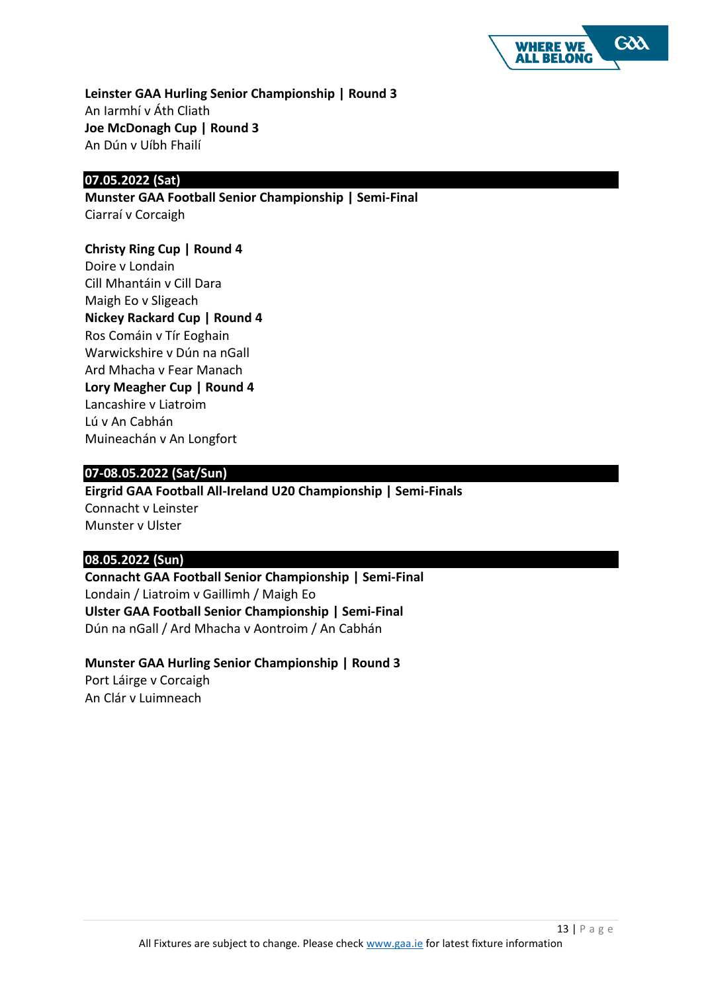

**Leinster GAA Hurling Senior Championship | Round 3** An Iarmhí v Áth Cliath **Joe McDonagh Cup | Round 3** An Dún v Uíbh Fhailí

# **07.05.2022 (Sat)**

**Munster GAA Football Senior Championship | Semi-Final** Ciarraí v Corcaigh

#### **Christy Ring Cup | Round 4**

Doire v Londain Cill Mhantáin v Cill Dara Maigh Eo v Sligeach **Nickey Rackard Cup | Round 4** Ros Comáin v Tír Eoghain Warwickshire v Dún na nGall Ard Mhacha v Fear Manach **Lory Meagher Cup | Round 4** Lancashire v Liatroim Lú v An Cabhán Muineachán v An Longfort

## **07-08.05.2022 (Sat/Sun)**

**Eirgrid GAA Football All-Ireland U20 Championship | Semi-Finals** Connacht v Leinster Munster v Ulster

## **08.05.2022 (Sun)**

**Connacht GAA Football Senior Championship | Semi-Final** Londain / Liatroim v Gaillimh / Maigh Eo **Ulster GAA Football Senior Championship | Semi-Final** Dún na nGall / Ard Mhacha v Aontroim / An Cabhán

# **Munster GAA Hurling Senior Championship | Round 3**

Port Láirge v Corcaigh An Clár v Luimneach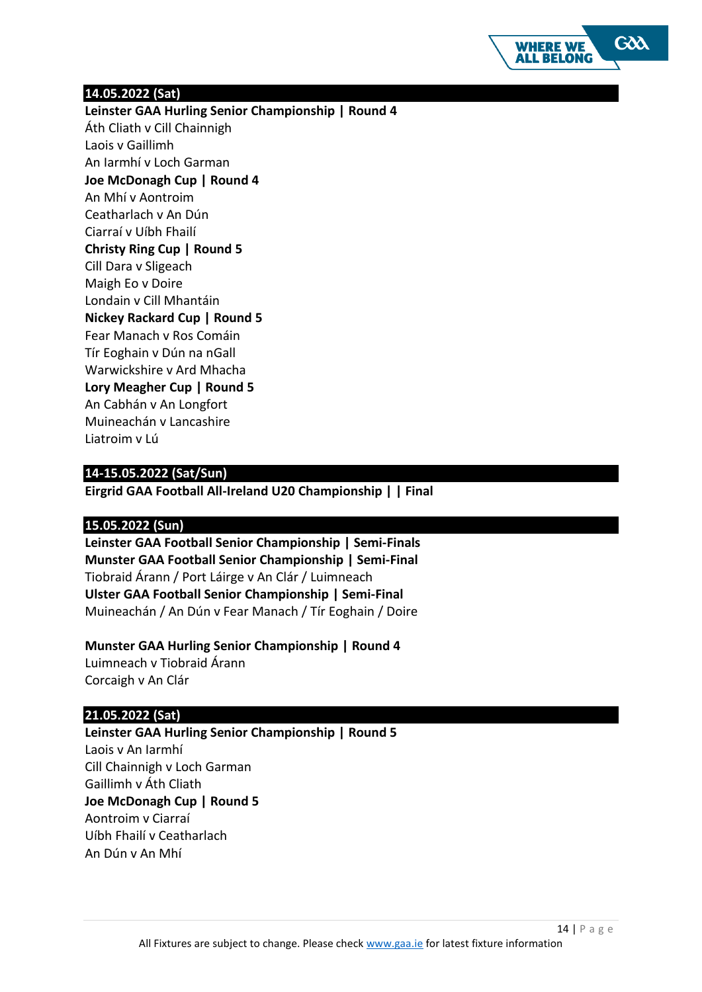

#### **14.05.2022 (Sat)**

**Leinster GAA Hurling Senior Championship | Round 4** Áth Cliath v Cill Chainnigh Laois v Gaillimh An Iarmhí v Loch Garman **Joe McDonagh Cup | Round 4** An Mhí v Aontroim Ceatharlach v An Dún Ciarraí v Uíbh Fhailí **Christy Ring Cup | Round 5** Cill Dara v Sligeach Maigh Eo v Doire Londain v Cill Mhantáin **Nickey Rackard Cup | Round 5** Fear Manach v Ros Comáin Tír Eoghain v Dún na nGall Warwickshire v Ard Mhacha **Lory Meagher Cup | Round 5** An Cabhán v An Longfort Muineachán v Lancashire Liatroim v Lú

## **14-15.05.2022 (Sat/Sun)**

**Eirgrid GAA Football All-Ireland U20 Championship | | Final**

## **15.05.2022 (Sun)**

**Leinster GAA Football Senior Championship | Semi-Finals Munster GAA Football Senior Championship | Semi-Final** Tiobraid Árann / Port Láirge v An Clár / Luimneach **Ulster GAA Football Senior Championship | Semi-Final** Muineachán / An Dún v Fear Manach / Tír Eoghain / Doire

## **Munster GAA Hurling Senior Championship | Round 4**

Luimneach v Tiobraid Árann Corcaigh v An Clár

#### **21.05.2022 (Sat)**

**Leinster GAA Hurling Senior Championship | Round 5** Laois v An Iarmhí Cill Chainnigh v Loch Garman Gaillimh v Áth Cliath **Joe McDonagh Cup | Round 5** Aontroim v Ciarraí Uíbh Fhailí v Ceatharlach An Dún v An Mhí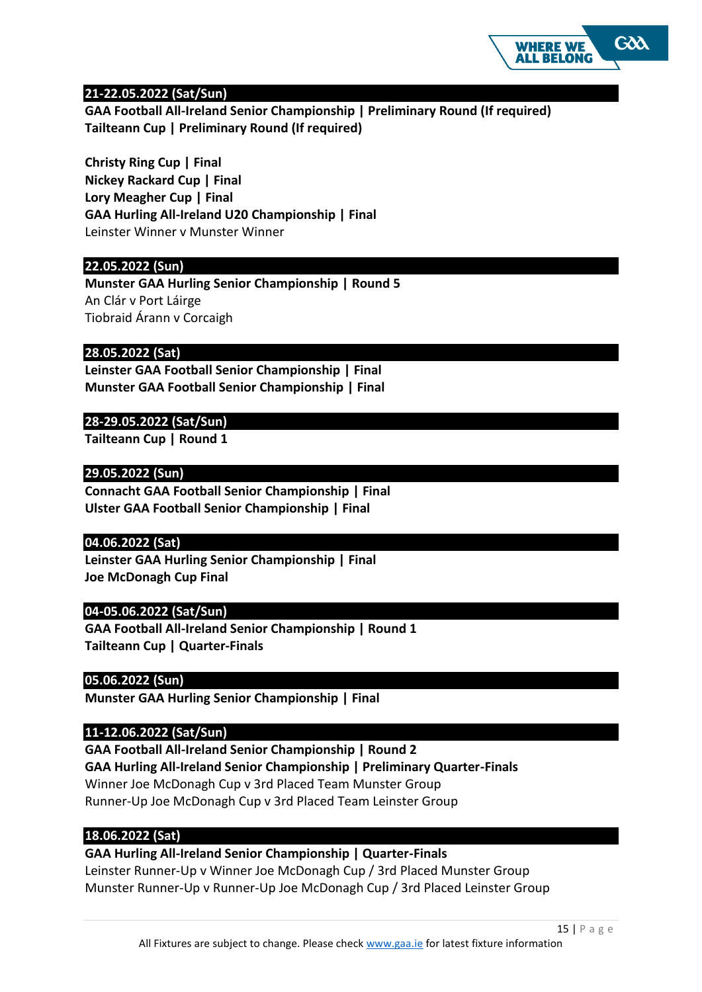

## **21-22.05.2022 (Sat/Sun)**

**GAA Football All-Ireland Senior Championship | Preliminary Round (If required) Tailteann Cup | Preliminary Round (If required)**

**Christy Ring Cup | Final Nickey Rackard Cup | Final Lory Meagher Cup | Final GAA Hurling All-Ireland U20 Championship | Final** Leinster Winner v Munster Winner

#### **22.05.2022 (Sun)**

**Munster GAA Hurling Senior Championship | Round 5** An Clár v Port Láirge Tiobraid Árann v Corcaigh

#### **28.05.2022 (Sat)**

**Leinster GAA Football Senior Championship | Final Munster GAA Football Senior Championship | Final**

#### **28-29.05.2022 (Sat/Sun)**

**Tailteann Cup | Round 1**

#### **29.05.2022 (Sun)**

**Connacht GAA Football Senior Championship | Final Ulster GAA Football Senior Championship | Final**

#### **04.06.2022 (Sat)**

**Leinster GAA Hurling Senior Championship | Final Joe McDonagh Cup Final**

#### **04-05.06.2022 (Sat/Sun)**

**GAA Football All-Ireland Senior Championship | Round 1 Tailteann Cup | Quarter-Finals**

#### **05.06.2022 (Sun)**

**Munster GAA Hurling Senior Championship | Final**

#### **11-12.06.2022 (Sat/Sun)**

**GAA Football All-Ireland Senior Championship | Round 2 GAA Hurling All-Ireland Senior Championship | Preliminary Quarter-Finals**  Winner Joe McDonagh Cup v 3rd Placed Team Munster Group Runner-Up Joe McDonagh Cup v 3rd Placed Team Leinster Group

#### **18.06.2022 (Sat)**

#### **GAA Hurling All-Ireland Senior Championship | Quarter-Finals**

Leinster Runner-Up v Winner Joe McDonagh Cup / 3rd Placed Munster Group Munster Runner-Up v Runner-Up Joe McDonagh Cup / 3rd Placed Leinster Group